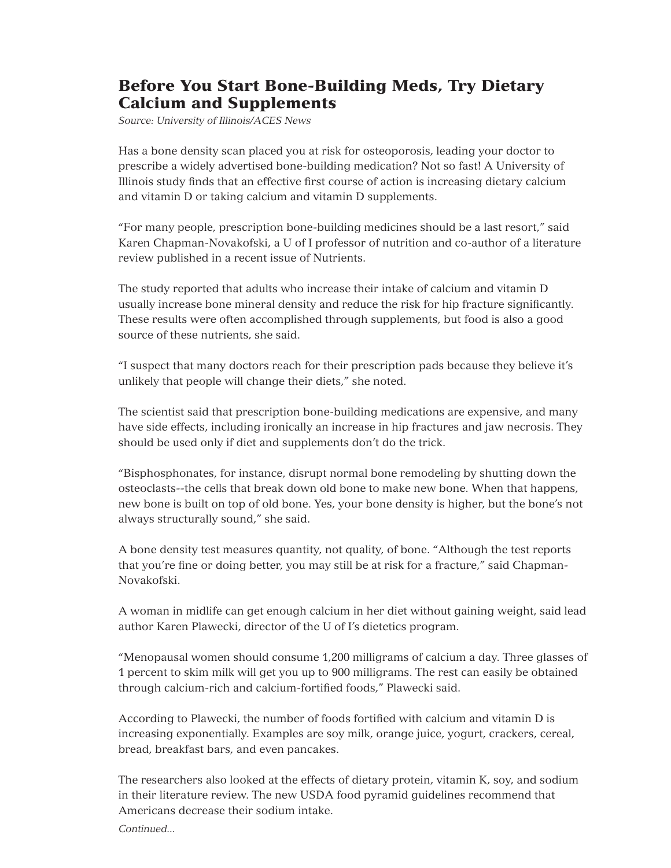## Before You Start Bone-Building Meds, Try Dietary Calcium and Supplements

*Source: University of Illinois/ACES News*

Has a bone density scan placed you at risk for osteoporosis, leading your doctor to prescribe a widely advertised bone-building medication? Not so fast! A University of Illinois study finds that an effective first course of action is increasing dietary calcium and vitamin D or taking calcium and vitamin D supplements.

"For many people, prescription bone-building medicines should be a last resort," said Karen Chapman-Novakofski, a U of I professor of nutrition and co-author of a literature review published in a recent issue of Nutrients.

The study reported that adults who increase their intake of calcium and vitamin D usually increase bone mineral density and reduce the risk for hip fracture significantly. These results were often accomplished through supplements, but food is also a good source of these nutrients, she said.

"I suspect that many doctors reach for their prescription pads because they believe it's unlikely that people will change their diets," she noted.

The scientist said that prescription bone-building medications are expensive, and many have side effects, including ironically an increase in hip fractures and jaw necrosis. They should be used only if diet and supplements don't do the trick.

"Bisphosphonates, for instance, disrupt normal bone remodeling by shutting down the osteoclasts--the cells that break down old bone to make new bone. When that happens, new bone is built on top of old bone. Yes, your bone density is higher, but the bone's not always structurally sound," she said.

A bone density test measures quantity, not quality, of bone. "Although the test reports that you're fine or doing better, you may still be at risk for a fracture," said Chapman-Novakofski.

A woman in midlife can get enough calcium in her diet without gaining weight, said lead author Karen Plawecki, director of the U of I's dietetics program.

"Menopausal women should consume 1,200 milligrams of calcium a day. Three glasses of 1 percent to skim milk will get you up to 900 milligrams. The rest can easily be obtained through calcium-rich and calcium-fortified foods," Plawecki said.

According to Plawecki, the number of foods fortified with calcium and vitamin D is increasing exponentially. Examples are soy milk, orange juice, yogurt, crackers, cereal, bread, breakfast bars, and even pancakes.

The researchers also looked at the effects of dietary protein, vitamin K, soy, and sodium in their literature review. The new USDA food pyramid guidelines recommend that Americans decrease their sodium intake.

*Continued...*